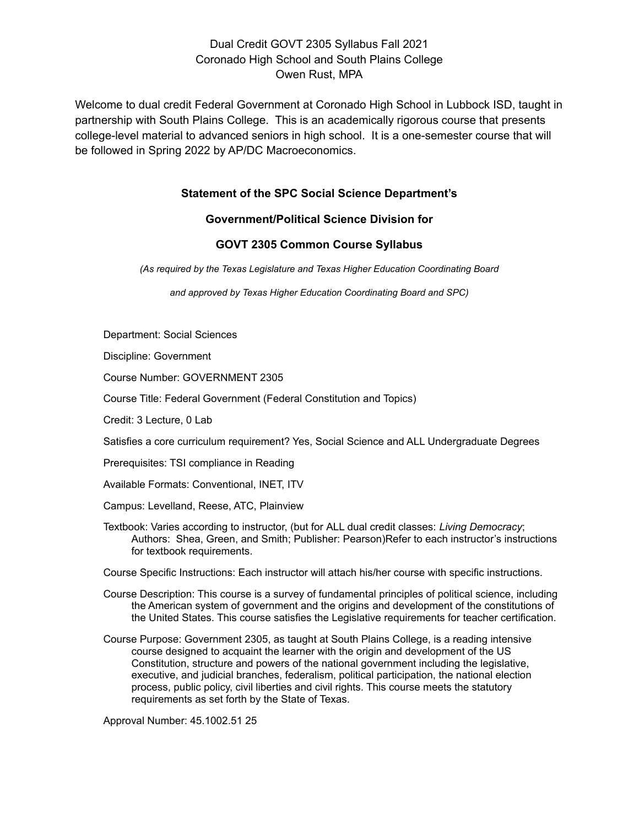Welcome to dual credit Federal Government at Coronado High School in Lubbock ISD, taught in partnership with South Plains College. This is an academically rigorous course that presents college-level material to advanced seniors in high school. It is a one-semester course that will be followed in Spring 2022 by AP/DC Macroeconomics.

## **Statement of the SPC Social Science Department's**

#### **Government/Political Science Division for**

#### **GOVT 2305 Common Course Syllabus**

*(As required by the Texas Legislature and Texas Higher Education Coordinating Board*

*and approved by Texas Higher Education Coordinating Board and SPC)*

Department: Social Sciences

Discipline: Government

Course Number: GOVERNMENT 2305

Course Title: Federal Government (Federal Constitution and Topics)

Credit: 3 Lecture, 0 Lab

Satisfies a core curriculum requirement? Yes, Social Science and ALL Undergraduate Degrees

Prerequisites: TSI compliance in Reading

Available Formats: Conventional, INET, ITV

Campus: Levelland, Reese, ATC, Plainview

Textbook: Varies according to instructor, (but for ALL dual credit classes: *Living Democracy*; Authors: Shea, Green, and Smith; Publisher: Pearson)Refer to each instructor's instructions for textbook requirements.

Course Specific Instructions: Each instructor will attach his/her course with specific instructions.

Course Description: This course is a survey of fundamental principles of political science, including the American system of government and the origins and development of the constitutions of the United States. This course satisfies the Legislative requirements for teacher certification.

Course Purpose: Government 2305, as taught at South Plains College, is a reading intensive course designed to acquaint the learner with the origin and development of the US Constitution, structure and powers of the national government including the legislative, executive, and judicial branches, federalism, political participation, the national election process, public policy, civil liberties and civil rights. This course meets the statutory requirements as set forth by the State of Texas.

Approval Number: 45.1002.51 25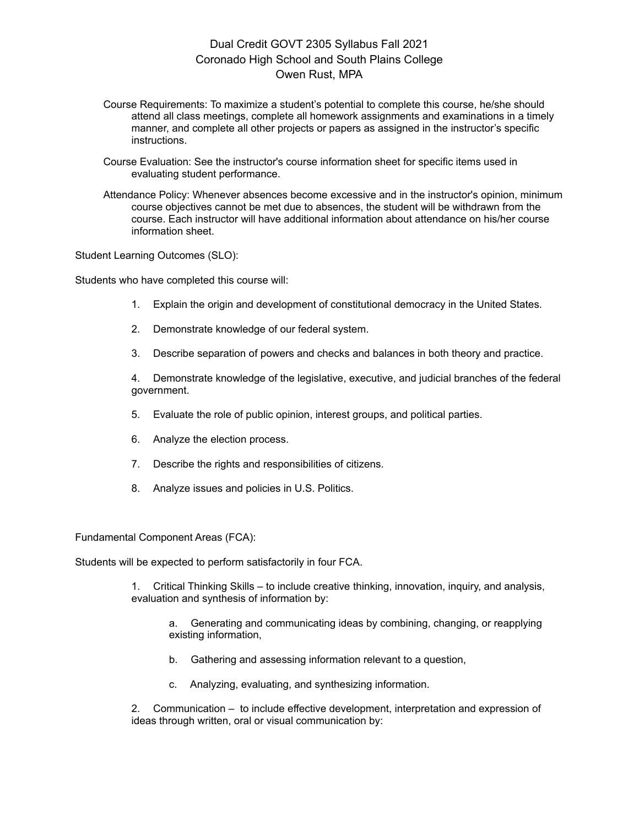- Course Requirements: To maximize a student's potential to complete this course, he/she should attend all class meetings, complete all homework assignments and examinations in a timely manner, and complete all other projects or papers as assigned in the instructor's specific instructions.
- Course Evaluation: See the instructor's course information sheet for specific items used in evaluating student performance.
- Attendance Policy: Whenever absences become excessive and in the instructor's opinion, minimum course objectives cannot be met due to absences, the student will be withdrawn from the course. Each instructor will have additional information about attendance on his/her course information sheet.

Student Learning Outcomes (SLO):

Students who have completed this course will:

- 1. Explain the origin and development of constitutional democracy in the United States.
- 2. Demonstrate knowledge of our federal system.
- 3. Describe separation of powers and checks and balances in both theory and practice.

4. Demonstrate knowledge of the legislative, executive, and judicial branches of the federal government.

- 5. Evaluate the role of public opinion, interest groups, and political parties.
- 6. Analyze the election process.
- 7. Describe the rights and responsibilities of citizens.
- 8. Analyze issues and policies in U.S. Politics.

Fundamental Component Areas (FCA):

Students will be expected to perform satisfactorily in four FCA.

1. Critical Thinking Skills – to include creative thinking, innovation, inquiry, and analysis, evaluation and synthesis of information by:

a. Generating and communicating ideas by combining, changing, or reapplying existing information,

- b. Gathering and assessing information relevant to a question,
- c. Analyzing, evaluating, and synthesizing information.

2. Communication – to include effective development, interpretation and expression of ideas through written, oral or visual communication by: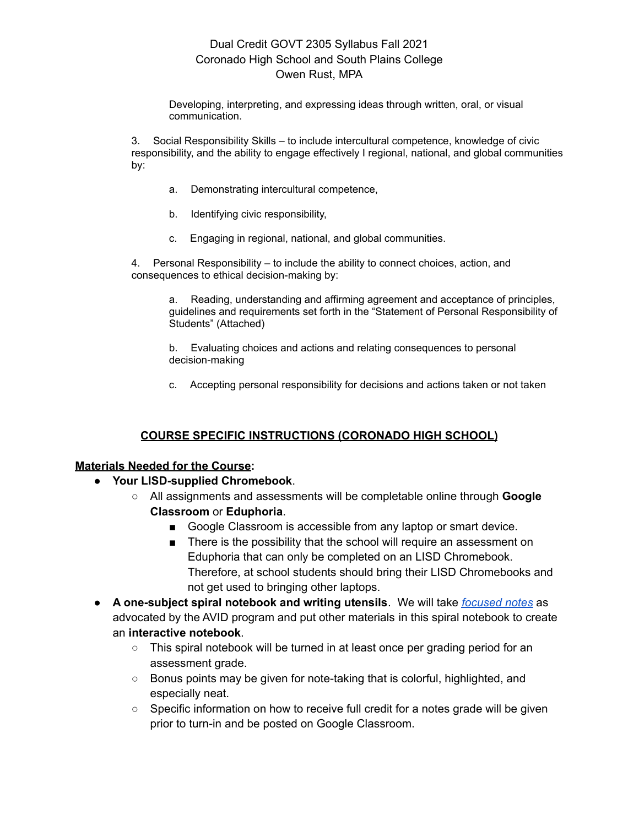Developing, interpreting, and expressing ideas through written, oral, or visual communication.

3. Social Responsibility Skills – to include intercultural competence, knowledge of civic responsibility, and the ability to engage effectively I regional, national, and global communities by:

- a. Demonstrating intercultural competence,
- b. Identifying civic responsibility,
- c. Engaging in regional, national, and global communities.

4. Personal Responsibility – to include the ability to connect choices, action, and consequences to ethical decision-making by:

a. Reading, understanding and affirming agreement and acceptance of principles, guidelines and requirements set forth in the "Statement of Personal Responsibility of Students" (Attached)

b. Evaluating choices and actions and relating consequences to personal decision-making

c. Accepting personal responsibility for decisions and actions taken or not taken

## **COURSE SPECIFIC INSTRUCTIONS (CORONADO HIGH SCHOOL)**

#### **Materials Needed for the Course:**

- **Your LISD-supplied Chromebook**.
	- All assignments and assessments will be completable online through **Google Classroom** or **Eduphoria**.
		- Google Classroom is accessible from any laptop or smart device.
		- There is the possibility that the school will require an assessment on Eduphoria that can only be completed on an LISD Chromebook. Therefore, at school students should bring their LISD Chromebooks and not get used to bringing other laptops.
- **A one-subject spiral notebook and writing utensils**. We will take *[focused](https://avidopenaccess.org/resource/digital-focused-note-taking-strategies-and-tools/) notes* as advocated by the AVID program and put other materials in this spiral notebook to create an **interactive notebook**.
	- This spiral notebook will be turned in at least once per grading period for an assessment grade.
	- $\circ$  Bonus points may be given for note-taking that is colorful, highlighted, and especially neat.
	- $\circ$  Specific information on how to receive full credit for a notes grade will be given prior to turn-in and be posted on Google Classroom.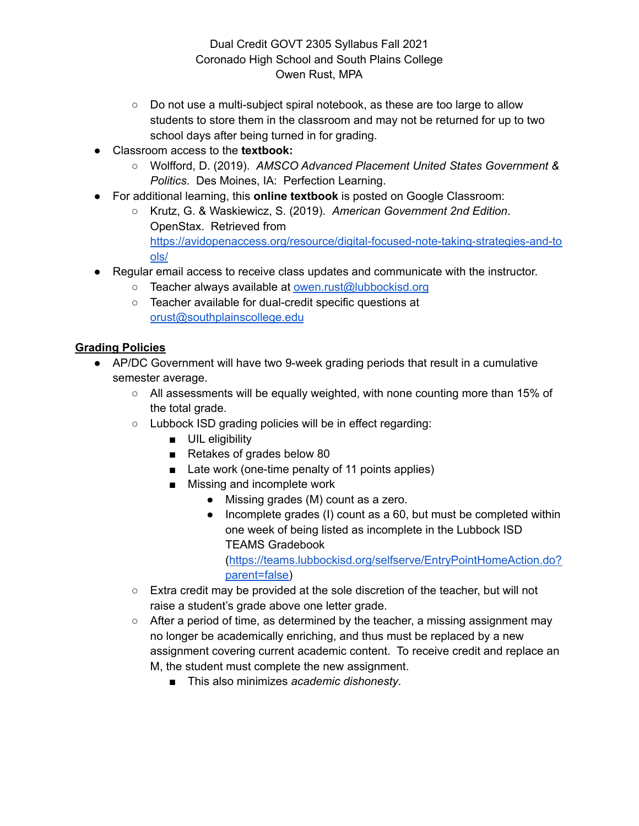- $\circ$  Do not use a multi-subject spiral notebook, as these are too large to allow students to store them in the classroom and may not be returned for up to two school days after being turned in for grading.
- Classroom access to the **textbook:**
	- Wolfford, D. (2019). *AMSCO Advanced Placement United States Government & Politics*. Des Moines, IA: Perfection Learning.
- For additional learning, this **online textbook** is posted on Google Classroom:
	- Krutz, G. & Waskiewicz, S. (2019). *American Government 2nd Edition*. OpenStax. Retrieved from [https://avidopenaccess.org/resource/digital-focused-note-taking-strategies-and-to](https://avidopenaccess.org/resource/digital-focused-note-taking-strategies-and-tools/) [ols/](https://avidopenaccess.org/resource/digital-focused-note-taking-strategies-and-tools/)
- Regular email access to receive class updates and communicate with the instructor.
	- Teacher always available at [owen.rust@lubbockisd.org](mailto:owen.rust@lubbockisd.org)
	- Teacher available for dual-credit specific questions at [orust@southplainscollege.edu](mailto:orust@southplainscollege.edu)

# **Grading Policies**

- AP/DC Government will have two 9-week grading periods that result in a cumulative semester average.
	- $\circ$  All assessments will be equally weighted, with none counting more than 15% of the total grade.
	- Lubbock ISD grading policies will be in effect regarding:
		- UIL eligibility
		- Retakes of grades below 80
		- Late work (one-time penalty of 11 points applies)
		- Missing and incomplete work
			- Missing grades (M) count as a zero.
			- Incomplete grades (I) count as a 60, but must be completed within one week of being listed as incomplete in the Lubbock ISD TEAMS Gradebook

([https://teams.lubbockisd.org/selfserve/EntryPointHomeAction.do?](https://teams.lubbockisd.org/selfserve/EntryPointHomeAction.do?parent=false) [parent=false\)](https://teams.lubbockisd.org/selfserve/EntryPointHomeAction.do?parent=false)

- Extra credit may be provided at the sole discretion of the teacher, but will not raise a student's grade above one letter grade.
- After a period of time, as determined by the teacher, a missing assignment may no longer be academically enriching, and thus must be replaced by a new assignment covering current academic content. To receive credit and replace an M, the student must complete the new assignment.
	- This also minimizes *academic dishonesty*.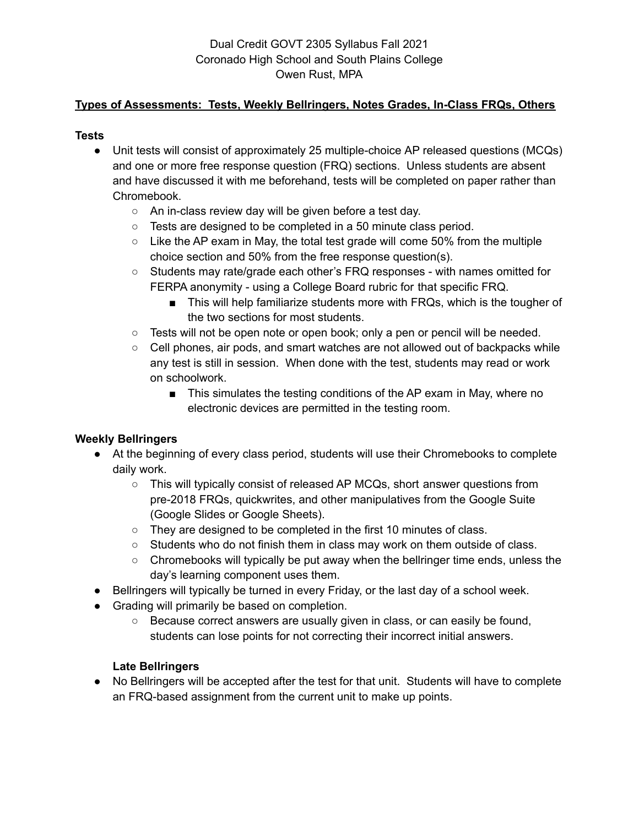## **Types of Assessments: Tests, Weekly Bellringers, Notes Grades, In-Class FRQs, Others**

## **Tests**

- Unit tests will consist of approximately 25 multiple-choice AP released questions (MCQs) and one or more free response question (FRQ) sections. Unless students are absent and have discussed it with me beforehand, tests will be completed on paper rather than Chromebook.
	- An in-class review day will be given before a test day.
	- Tests are designed to be completed in a 50 minute class period.
	- Like the AP exam in May, the total test grade will come 50% from the multiple choice section and 50% from the free response question(s).
	- Students may rate/grade each other's FRQ responses with names omitted for FERPA anonymity - using a College Board rubric for that specific FRQ.
		- This will help familiarize students more with FRQs, which is the tougher of the two sections for most students.
	- Tests will not be open note or open book; only a pen or pencil will be needed.
	- Cell phones, air pods, and smart watches are not allowed out of backpacks while any test is still in session. When done with the test, students may read or work on schoolwork.
		- This simulates the testing conditions of the AP exam in May, where no electronic devices are permitted in the testing room.

# **Weekly Bellringers**

- At the beginning of every class period, students will use their Chromebooks to complete daily work.
	- This will typically consist of released AP MCQs, short answer questions from pre-2018 FRQs, quickwrites, and other manipulatives from the Google Suite (Google Slides or Google Sheets).
	- They are designed to be completed in the first 10 minutes of class.
	- Students who do not finish them in class may work on them outside of class.
	- Chromebooks will typically be put away when the bellringer time ends, unless the day's learning component uses them.
- Bellringers will typically be turned in every Friday, or the last day of a school week.
- Grading will primarily be based on completion.
	- Because correct answers are usually given in class, or can easily be found, students can lose points for not correcting their incorrect initial answers.

# **Late Bellringers**

• No Bellringers will be accepted after the test for that unit. Students will have to complete an FRQ-based assignment from the current unit to make up points.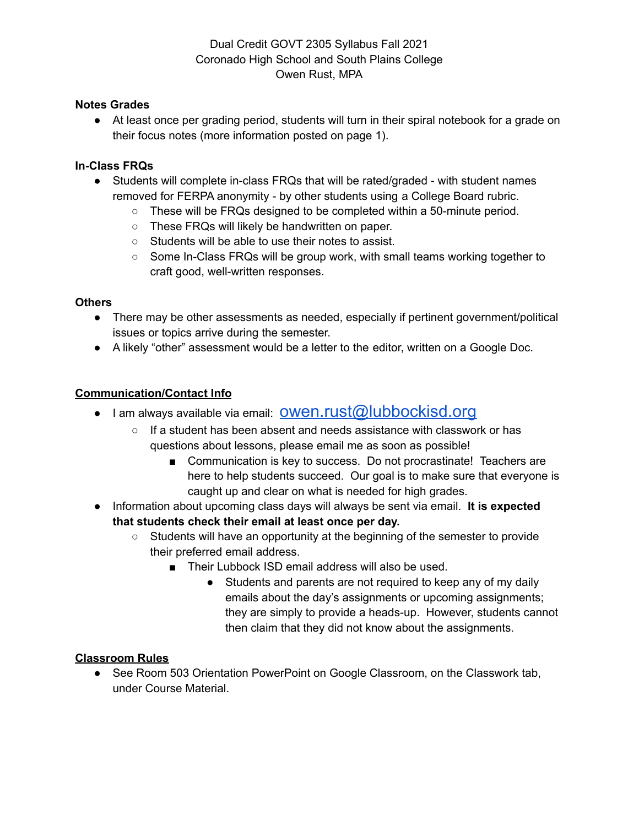## **Notes Grades**

● At least once per grading period, students will turn in their spiral notebook for a grade on their focus notes (more information posted on page 1).

## **In-Class FRQs**

- Students will complete in-class FRQs that will be rated/graded with student names removed for FERPA anonymity - by other students using a College Board rubric.
	- These will be FRQs designed to be completed within a 50-minute period.
	- These FRQs will likely be handwritten on paper.
	- Students will be able to use their notes to assist.
	- Some In-Class FRQs will be group work, with small teams working together to craft good, well-written responses.

## **Others**

- There may be other assessments as needed, especially if pertinent government/political issues or topics arrive during the semester.
- A likely "other" assessment would be a letter to the editor, written on a Google Doc.

## **Communication/Contact Info**

- I am always available via email: OWen.rust@lubbockisd.org
	- If a student has been absent and needs assistance with classwork or has questions about lessons, please email me as soon as possible!
		- Communication is key to success. Do not procrastinate! Teachers are here to help students succeed. Our goal is to make sure that everyone is caught up and clear on what is needed for high grades.
- Information about upcoming class days will always be sent via email. **It is expected that students check their email at least once per day.**
	- Students will have an opportunity at the beginning of the semester to provide their preferred email address.
		- Their Lubbock ISD email address will also be used.
			- Students and parents are not required to keep any of my daily emails about the day's assignments or upcoming assignments; they are simply to provide a heads-up. However, students cannot then claim that they did not know about the assignments.

## **Classroom Rules**

● See Room 503 Orientation PowerPoint on Google Classroom, on the Classwork tab, under Course Material.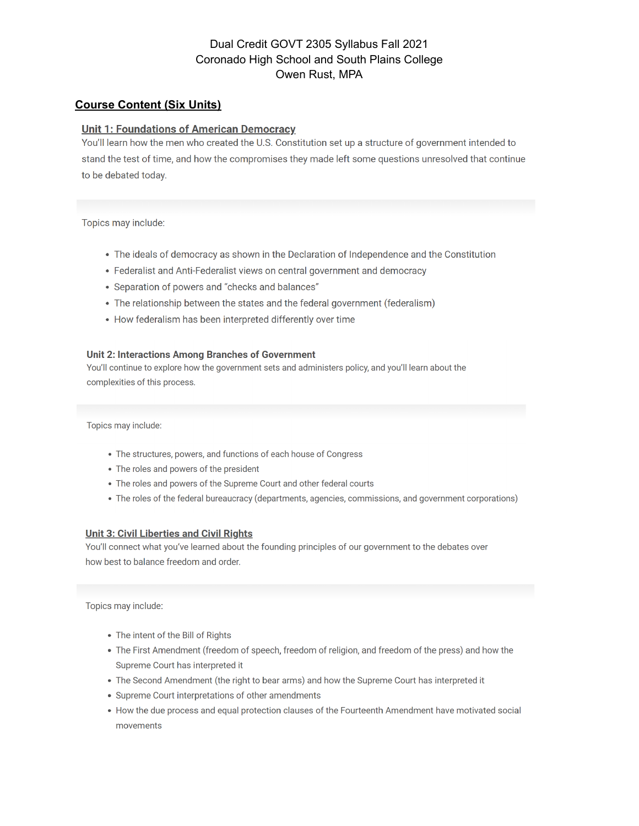#### **Course Content (Six Units)**

#### **Unit 1: Foundations of American Democracy**

You'll learn how the men who created the U.S. Constitution set up a structure of government intended to stand the test of time, and how the compromises they made left some questions unresolved that continue to be debated today.

Topics may include:

- The ideals of democracy as shown in the Declaration of Independence and the Constitution
- Federalist and Anti-Federalist views on central government and democracy
- Separation of powers and "checks and balances"
- The relationship between the states and the federal government (federalism)
- How federalism has been interpreted differently over time

#### Unit 2: Interactions Among Branches of Government

You'll continue to explore how the government sets and administers policy, and you'll learn about the complexities of this process.

Topics may include:

- The structures, powers, and functions of each house of Congress
- The roles and powers of the president
- The roles and powers of the Supreme Court and other federal courts
- The roles of the federal bureaucracy (departments, agencies, commissions, and government corporations)

#### **Unit 3: Civil Liberties and Civil Rights**

You'll connect what you've learned about the founding principles of our government to the debates over how best to balance freedom and order.

Topics may include:

- The intent of the Bill of Rights
- The First Amendment (freedom of speech, freedom of religion, and freedom of the press) and how the Supreme Court has interpreted it
- The Second Amendment (the right to bear arms) and how the Supreme Court has interpreted it
- Supreme Court interpretations of other amendments
- How the due process and equal protection clauses of the Fourteenth Amendment have motivated social movements